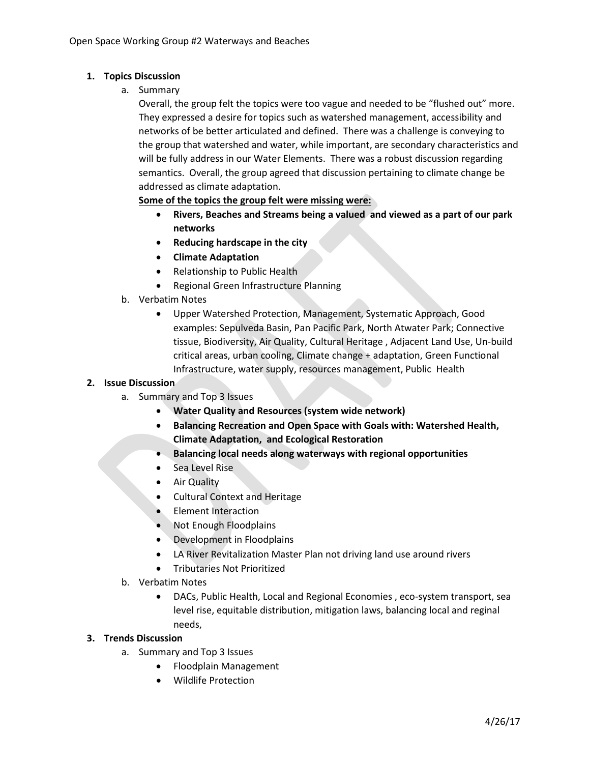## **1. Topics Discussion**

a. Summary

Overall, the group felt the topics were too vague and needed to be "flushed out" more. They expressed a desire for topics such as watershed management, accessibility and networks of be better articulated and defined. There was a challenge is conveying to the group that watershed and water, while important, are secondary characteristics and will be fully address in our Water Elements. There was a robust discussion regarding semantics. Overall, the group agreed that discussion pertaining to climate change be addressed as climate adaptation.

**Some of the topics the group felt were missing were:** 

- **Rivers, Beaches and Streams being a valued and viewed as a part of our park networks**
- **Reducing hardscape in the city**
- **Climate Adaptation**
- Relationship to Public Health
- Regional Green Infrastructure Planning
- b. Verbatim Notes
	- Upper Watershed Protection, Management, Systematic Approach, Good examples: Sepulveda Basin, Pan Pacific Park, North Atwater Park; Connective tissue, Biodiversity, Air Quality, Cultural Heritage , Adjacent Land Use, Un-build critical areas, urban cooling, Climate change + adaptation, Green Functional Infrastructure, water supply, resources management, Public Health

## **2. Issue Discussion**

- a. Summary and Top 3 Issues
	- **Water Quality and Resources (system wide network)**
	- **Balancing Recreation and Open Space with Goals with: Watershed Health, Climate Adaptation, and Ecological Restoration**
	- **Balancing local needs along waterways with regional opportunities**
	- Sea Level Rise
	- Air Quality
	- Cultural Context and Heritage
	- Element Interaction
	- Not Enough Floodplains
	- Development in Floodplains
	- LA River Revitalization Master Plan not driving land use around rivers
	- Tributaries Not Prioritized
- b. Verbatim Notes
	- DACs, Public Health, Local and Regional Economies , eco-system transport, sea level rise, equitable distribution, mitigation laws, balancing local and reginal needs,

## **3. Trends Discussion**

- a. Summary and Top 3 Issues
	- Floodplain Management
	- Wildlife Protection